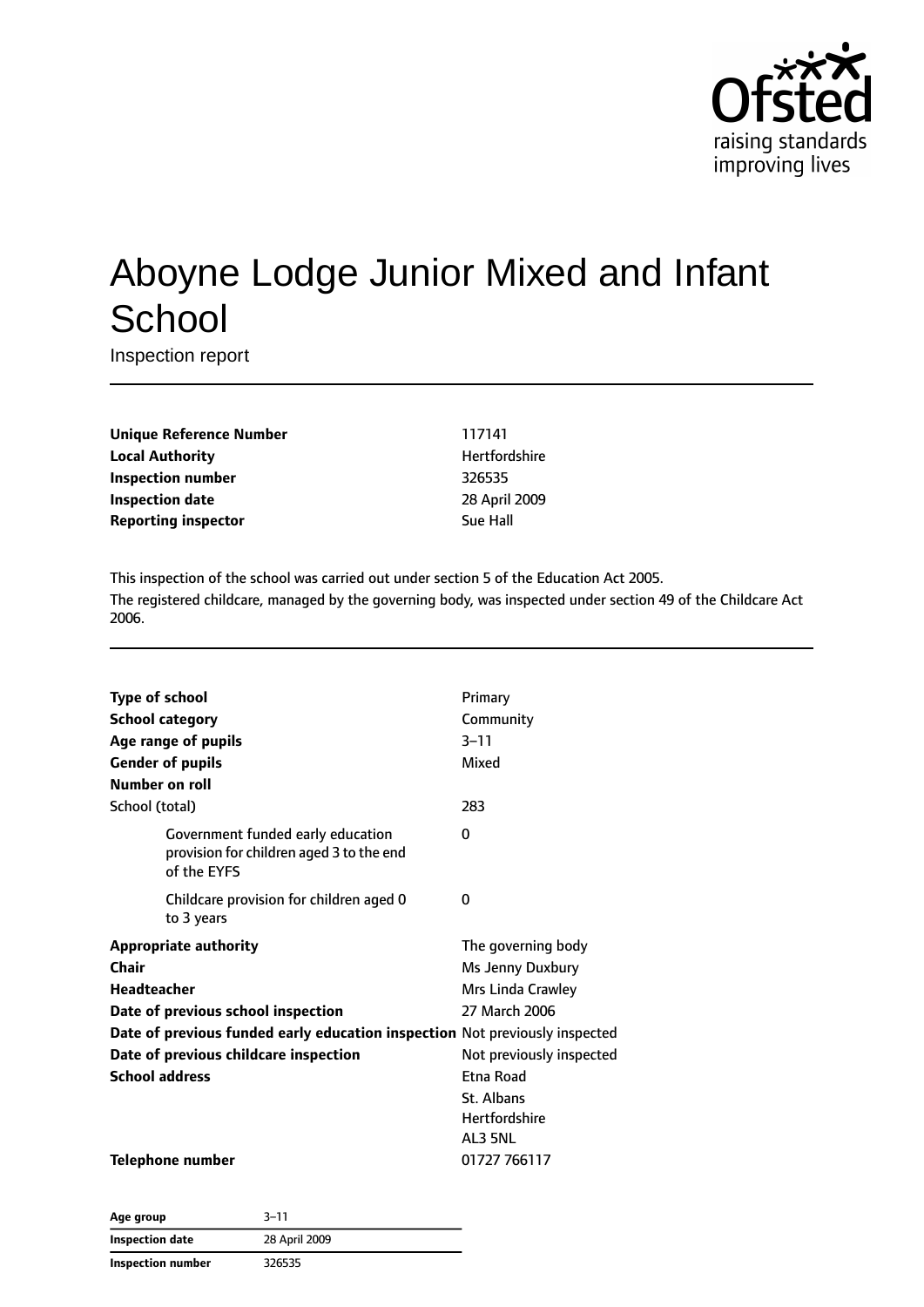

# Aboyne Lodge Junior Mixed and Infant **School**

Inspection report

| <b>Unique Reference Number</b> |
|--------------------------------|
| <b>Local Authority</b>         |
| Inspection number              |
| <b>Inspection date</b>         |
| <b>Reporting inspector</b>     |

**Unique Reference Number** 117141 **Hertfordshire Inspection number** 326535 **Inspection date** 28 April 2009 **Sue Hall** 

This inspection of the school was carried out under section 5 of the Education Act 2005. The registered childcare, managed by the governing body, was inspected under section 49 of the Childcare Act 2006.

| <b>Type of school</b>                                                                        | Primary                  |
|----------------------------------------------------------------------------------------------|--------------------------|
| <b>School category</b>                                                                       | Community                |
| Age range of pupils                                                                          | $3 - 11$                 |
| <b>Gender of pupils</b>                                                                      | Mixed                    |
| <b>Number on roll</b>                                                                        |                          |
| School (total)                                                                               | 283                      |
| Government funded early education<br>provision for children aged 3 to the end<br>of the EYFS | 0                        |
| Childcare provision for children aged 0<br>to 3 years                                        | 0                        |
| <b>Appropriate authority</b>                                                                 | The governing body       |
| Chair                                                                                        | Ms Jenny Duxbury         |
| <b>Headteacher</b>                                                                           | Mrs Linda Crawley        |
| Date of previous school inspection                                                           | 27 March 2006            |
| Date of previous funded early education inspection Not previously inspected                  |                          |
| Date of previous childcare inspection                                                        | Not previously inspected |
| <b>School address</b>                                                                        | Etna Road                |
|                                                                                              | St. Albans               |
|                                                                                              | <b>Hertfordshire</b>     |
|                                                                                              | AL3 5NL                  |
| <b>Telephone number</b>                                                                      | 01727 766117             |

| Age group                | $3 - 11$      |
|--------------------------|---------------|
| Inspection date          | 28 April 2009 |
| <b>Inspection number</b> | 326535        |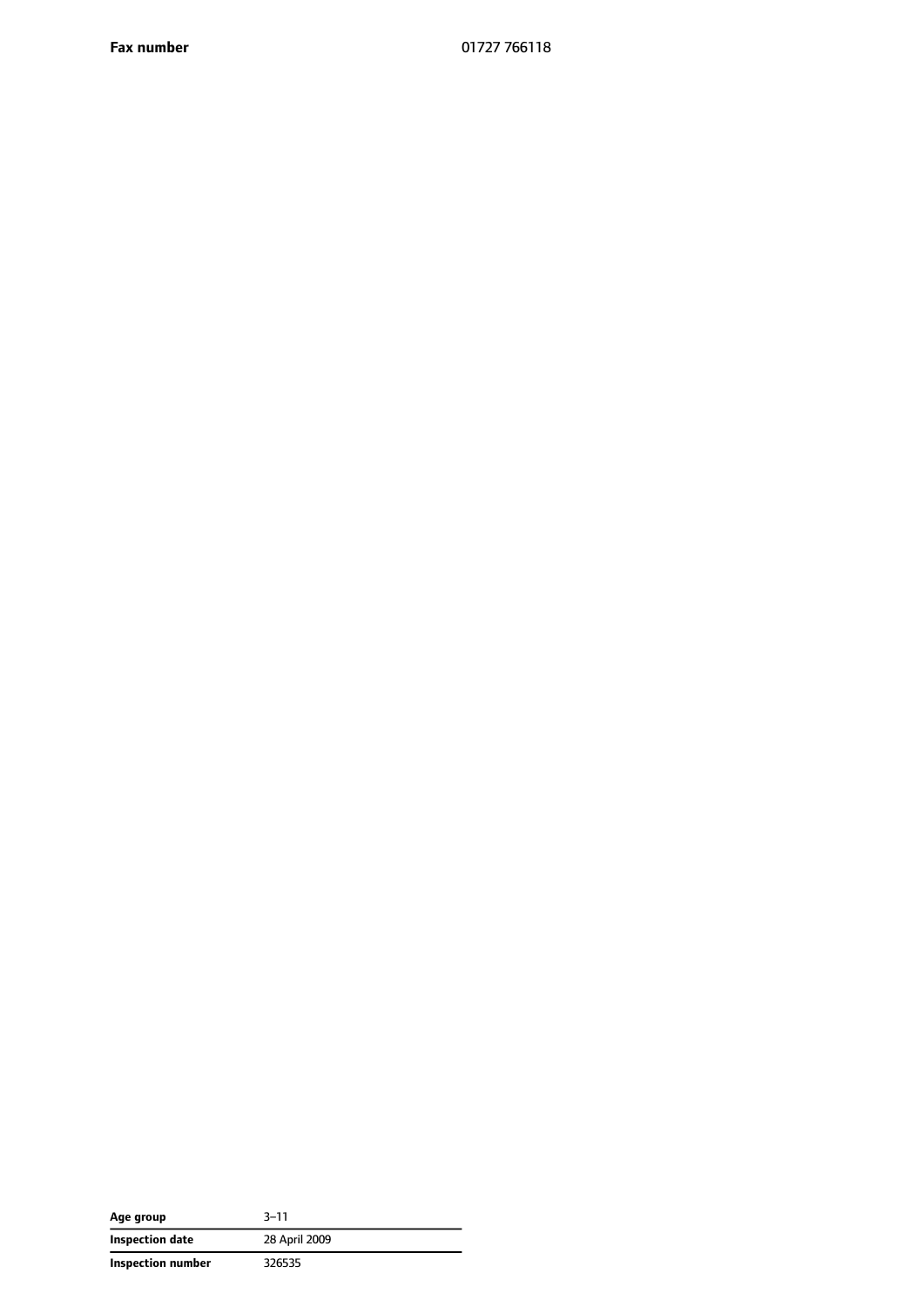**Fax number** 01727 766118

| Age group         | 3–11          |
|-------------------|---------------|
| Inspection date   | 28 April 2009 |
| Inspection number | 326535        |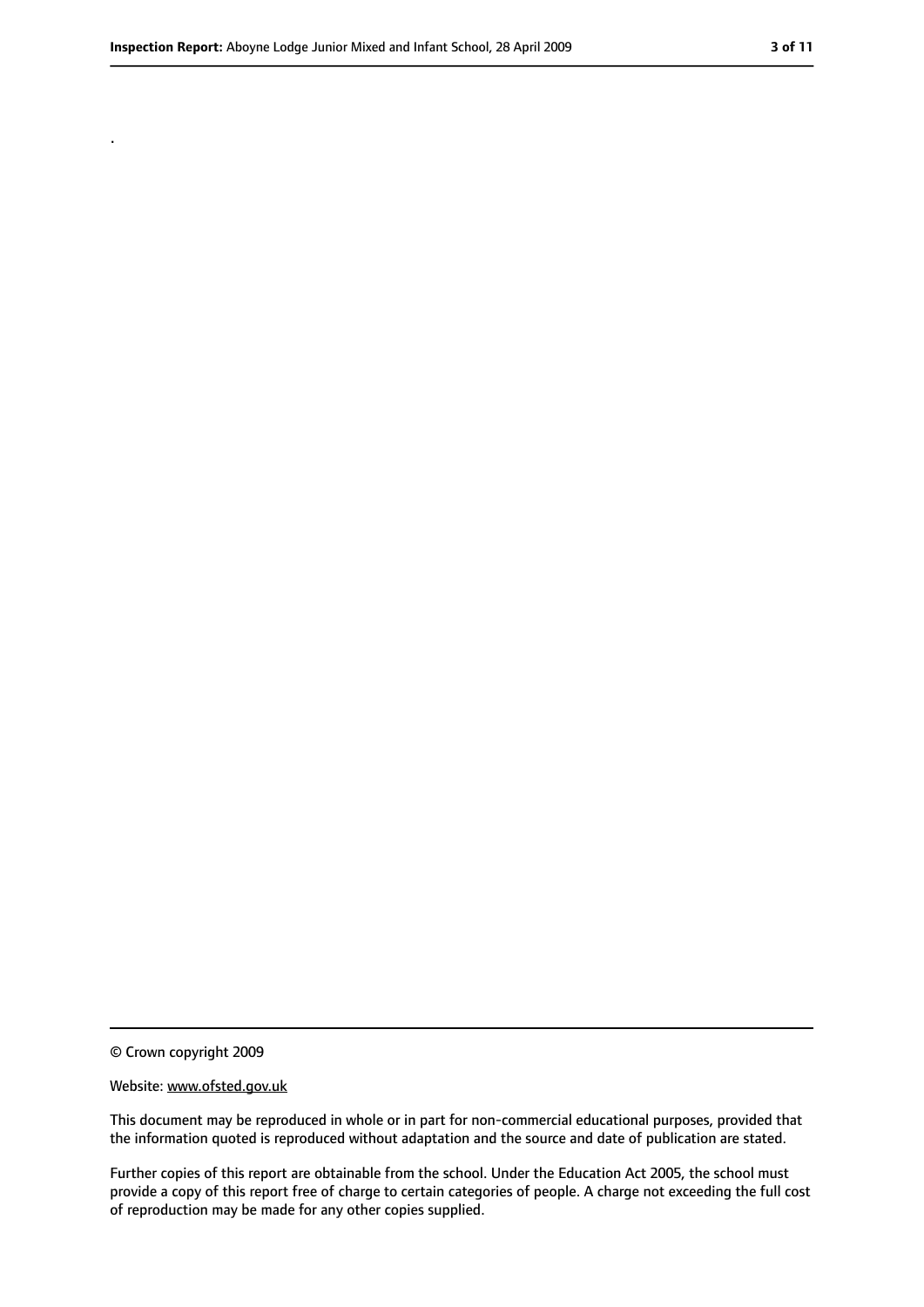.

<sup>©</sup> Crown copyright 2009

Website: www.ofsted.gov.uk

This document may be reproduced in whole or in part for non-commercial educational purposes, provided that the information quoted is reproduced without adaptation and the source and date of publication are stated.

Further copies of this report are obtainable from the school. Under the Education Act 2005, the school must provide a copy of this report free of charge to certain categories of people. A charge not exceeding the full cost of reproduction may be made for any other copies supplied.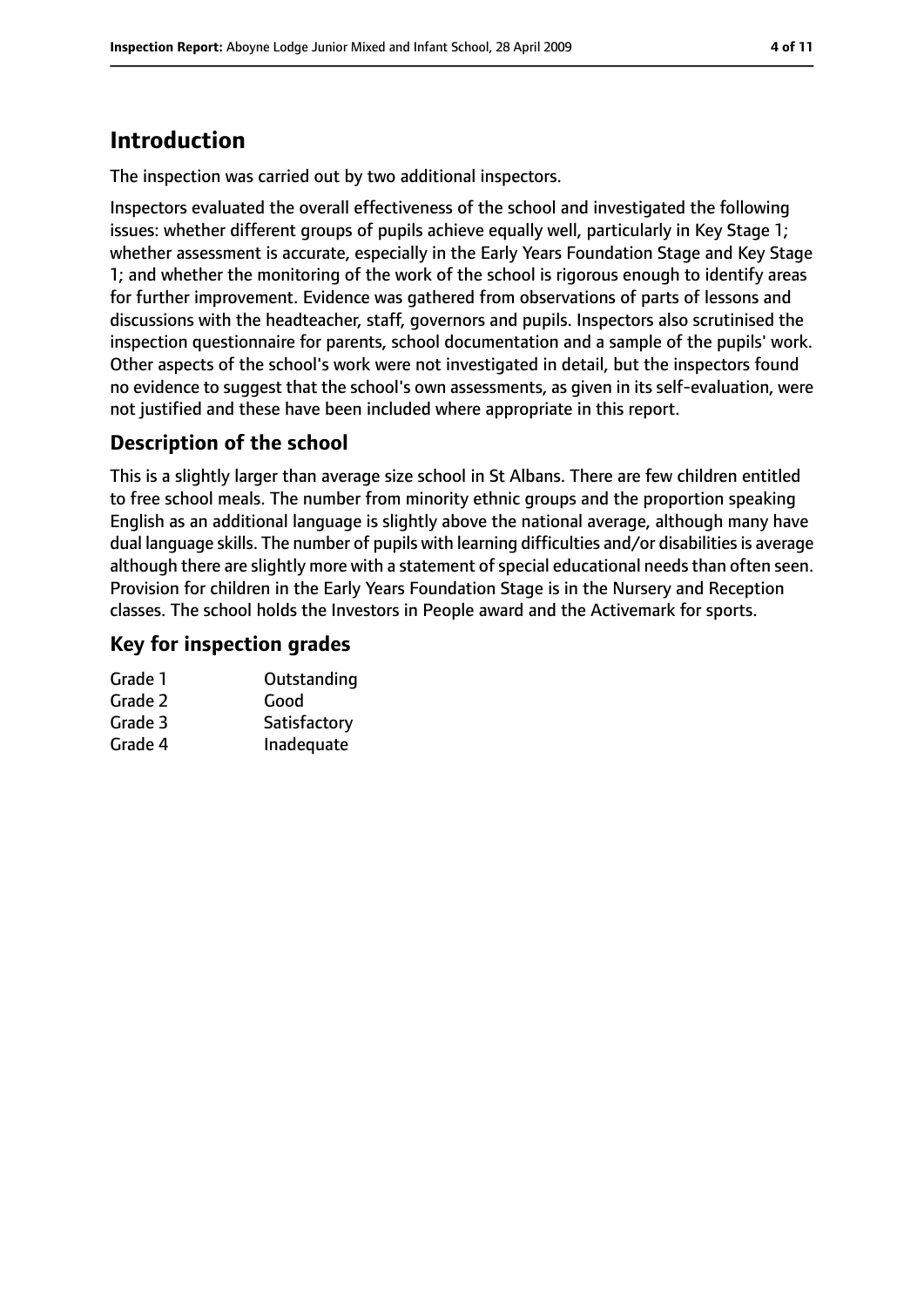# **Introduction**

The inspection was carried out by two additional inspectors.

Inspectors evaluated the overall effectiveness of the school and investigated the following issues: whether different groups of pupils achieve equally well, particularly in Key Stage 1; whether assessment is accurate, especially in the Early Years Foundation Stage and Key Stage 1; and whether the monitoring of the work of the school is rigorous enough to identify areas for further improvement. Evidence was gathered from observations of parts of lessons and discussions with the headteacher, staff, governors and pupils. Inspectors also scrutinised the inspection questionnaire for parents, school documentation and a sample of the pupils' work. Other aspects of the school's work were not investigated in detail, but the inspectors found no evidence to suggest that the school's own assessments, as given in its self-evaluation, were not justified and these have been included where appropriate in this report.

## **Description of the school**

This is a slightly larger than average size school in St Albans. There are few children entitled to free school meals. The number from minority ethnic groups and the proportion speaking English as an additional language is slightly above the national average, although many have dual language skills. The number of pupils with learning difficulties and/or disabilities is average although there are slightly more with a statement of special educational needs than often seen. Provision for children in the Early Years Foundation Stage is in the Nursery and Reception classes. The school holds the Investors in People award and the Activemark for sports.

### **Key for inspection grades**

| Grade 1 | Outstanding  |
|---------|--------------|
| Grade 2 | Good         |
| Grade 3 | Satisfactory |
| Grade 4 | Inadequate   |
|         |              |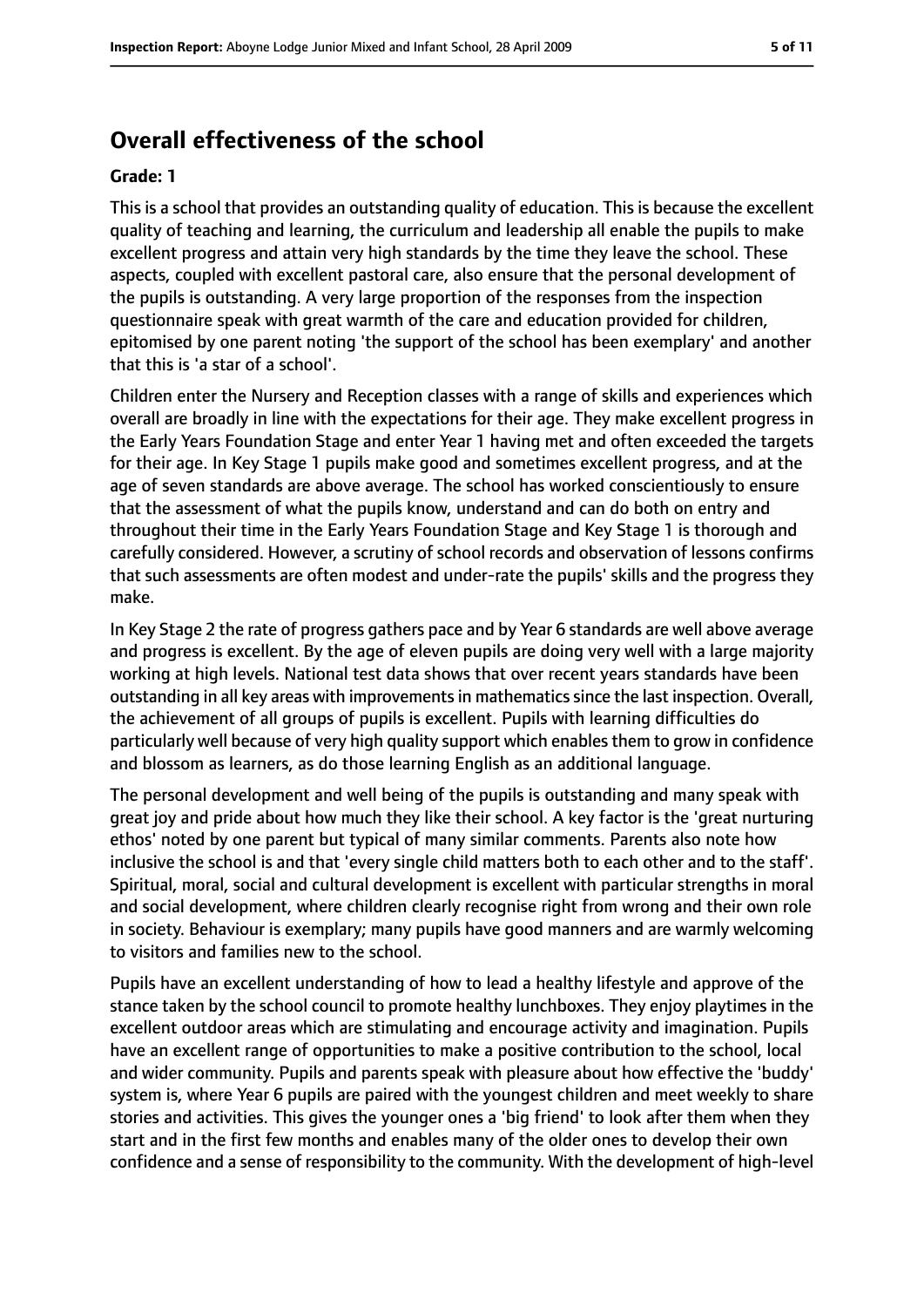# **Overall effectiveness of the school**

#### **Grade: 1**

This is a school that provides an outstanding quality of education. This is because the excellent quality of teaching and learning, the curriculum and leadership all enable the pupils to make excellent progress and attain very high standards by the time they leave the school. These aspects, coupled with excellent pastoral care, also ensure that the personal development of the pupils is outstanding. A very large proportion of the responses from the inspection questionnaire speak with great warmth of the care and education provided for children, epitomised by one parent noting 'the support of the school has been exemplary' and another that this is 'a star of a school'.

Children enter the Nursery and Reception classes with a range of skills and experiences which overall are broadly in line with the expectations for their age. They make excellent progress in the Early Years Foundation Stage and enter Year 1 having met and often exceeded the targets for their age. In Key Stage 1 pupils make good and sometimes excellent progress, and at the age of seven standards are above average. The school has worked conscientiously to ensure that the assessment of what the pupils know, understand and can do both on entry and throughout their time in the Early Years Foundation Stage and Key Stage 1 is thorough and carefully considered. However, a scrutiny of school records and observation of lessons confirms that such assessments are often modest and under-rate the pupils' skills and the progress they make.

In Key Stage 2 the rate of progress gathers pace and by Year 6 standards are well above average and progress is excellent. By the age of eleven pupils are doing very well with a large majority working at high levels. National test data shows that over recent years standards have been outstanding in all key areas with improvements in mathematics since the last inspection. Overall, the achievement of all groups of pupils is excellent. Pupils with learning difficulties do particularly well because of very high quality support which enables them to grow in confidence and blossom as learners, as do those learning English as an additional language.

The personal development and well being of the pupils is outstanding and many speak with great joy and pride about how much they like their school. A key factor is the 'great nurturing ethos' noted by one parent but typical of many similar comments. Parents also note how inclusive the school is and that 'every single child matters both to each other and to the staff'. Spiritual, moral, social and cultural development is excellent with particular strengths in moral and social development, where children clearly recognise right from wrong and their own role in society. Behaviour is exemplary; many pupils have good manners and are warmly welcoming to visitors and families new to the school.

Pupils have an excellent understanding of how to lead a healthy lifestyle and approve of the stance taken by the school council to promote healthy lunchboxes. They enjoy playtimes in the excellent outdoor areas which are stimulating and encourage activity and imagination. Pupils have an excellent range of opportunities to make a positive contribution to the school, local and wider community. Pupils and parents speak with pleasure about how effective the 'buddy' system is, where Year 6 pupils are paired with the youngest children and meet weekly to share stories and activities. This gives the younger ones a 'big friend' to look after them when they start and in the first few months and enables many of the older ones to develop their own confidence and a sense of responsibility to the community. With the development of high-level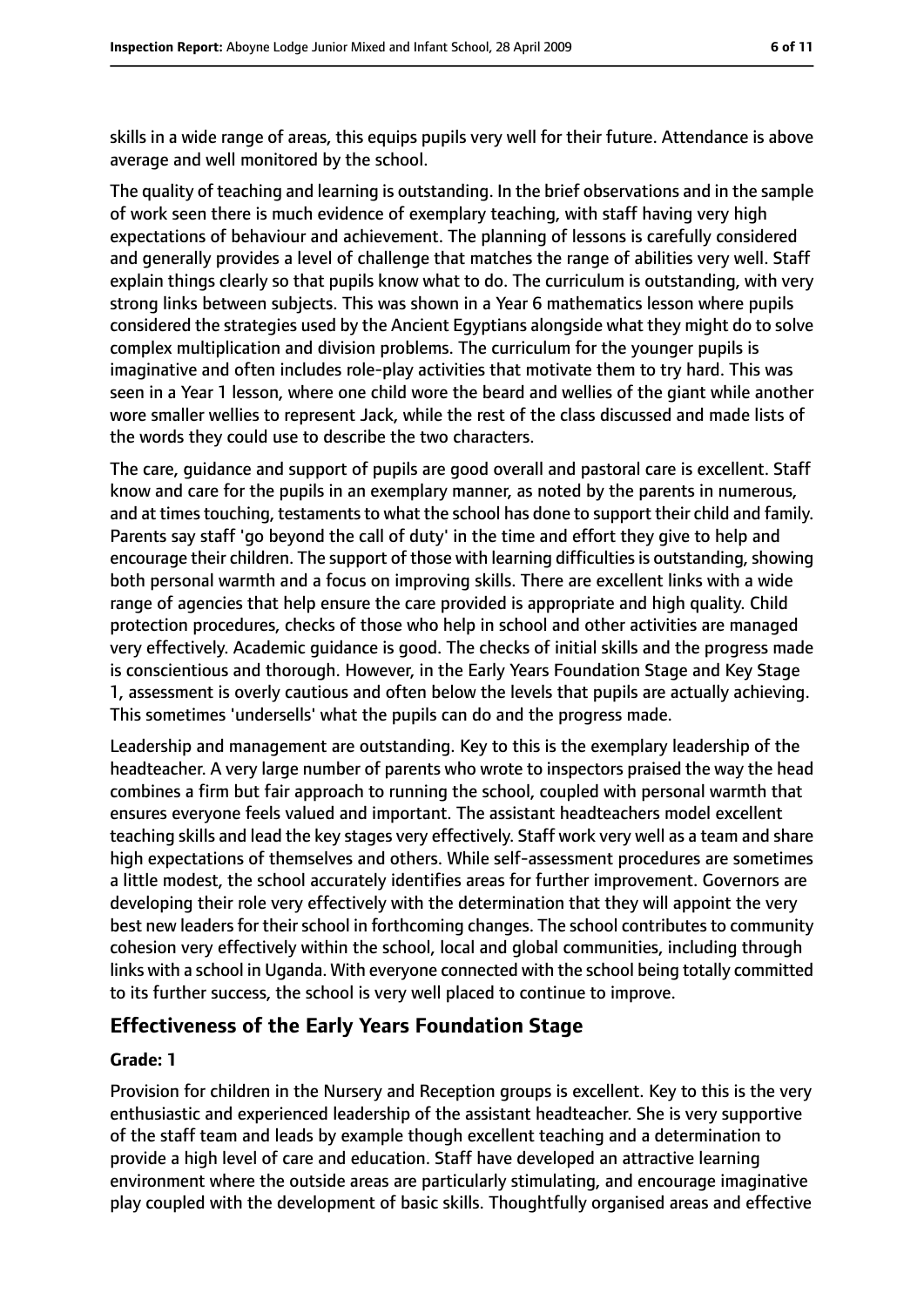skills in a wide range of areas, this equips pupils very well for their future. Attendance is above average and well monitored by the school.

The quality of teaching and learning is outstanding. In the brief observations and in the sample of work seen there is much evidence of exemplary teaching, with staff having very high expectations of behaviour and achievement. The planning of lessons is carefully considered and generally provides a level of challenge that matches the range of abilities very well. Staff explain things clearly so that pupils know what to do. The curriculum is outstanding, with very strong links between subjects. This was shown in a Year 6 mathematics lesson where pupils considered the strategies used by the Ancient Egyptians alongside what they might do to solve complex multiplication and division problems. The curriculum for the younger pupils is imaginative and often includes role-play activities that motivate them to try hard. This was seen in a Year 1 lesson, where one child wore the beard and wellies of the giant while another wore smaller wellies to represent Jack, while the rest of the class discussed and made lists of the words they could use to describe the two characters.

The care, guidance and support of pupils are good overall and pastoral care is excellent. Staff know and care for the pupils in an exemplary manner, as noted by the parents in numerous, and at times touching, testaments to what the school has done to support their child and family. Parents say staff 'go beyond the call of duty' in the time and effort they give to help and encourage their children. The support of those with learning difficulties is outstanding, showing both personal warmth and a focus on improving skills. There are excellent links with a wide range of agencies that help ensure the care provided is appropriate and high quality. Child protection procedures, checks of those who help in school and other activities are managed very effectively. Academic guidance is good. The checks of initial skills and the progress made is conscientious and thorough. However, in the Early Years Foundation Stage and Key Stage 1, assessment is overly cautious and often below the levels that pupils are actually achieving. This sometimes 'undersells' what the pupils can do and the progress made.

Leadership and management are outstanding. Key to this is the exemplary leadership of the headteacher. A very large number of parents who wrote to inspectors praised the way the head combines a firm but fair approach to running the school, coupled with personal warmth that ensures everyone feels valued and important. The assistant headteachers model excellent teaching skills and lead the key stages very effectively. Staff work very well as a team and share high expectations of themselves and others. While self-assessment procedures are sometimes a little modest, the school accurately identifies areas for further improvement. Governors are developing their role very effectively with the determination that they will appoint the very best new leaders for their school in forthcoming changes. The school contributes to community cohesion very effectively within the school, local and global communities, including through links with a school in Uganda. With everyone connected with the school being totally committed to its further success, the school is very well placed to continue to improve.

#### **Effectiveness of the Early Years Foundation Stage**

#### **Grade: 1**

Provision for children in the Nursery and Reception groups is excellent. Key to this is the very enthusiastic and experienced leadership of the assistant headteacher. She is very supportive of the staff team and leads by example though excellent teaching and a determination to provide a high level of care and education. Staff have developed an attractive learning environment where the outside areas are particularly stimulating, and encourage imaginative play coupled with the development of basic skills. Thoughtfully organised areas and effective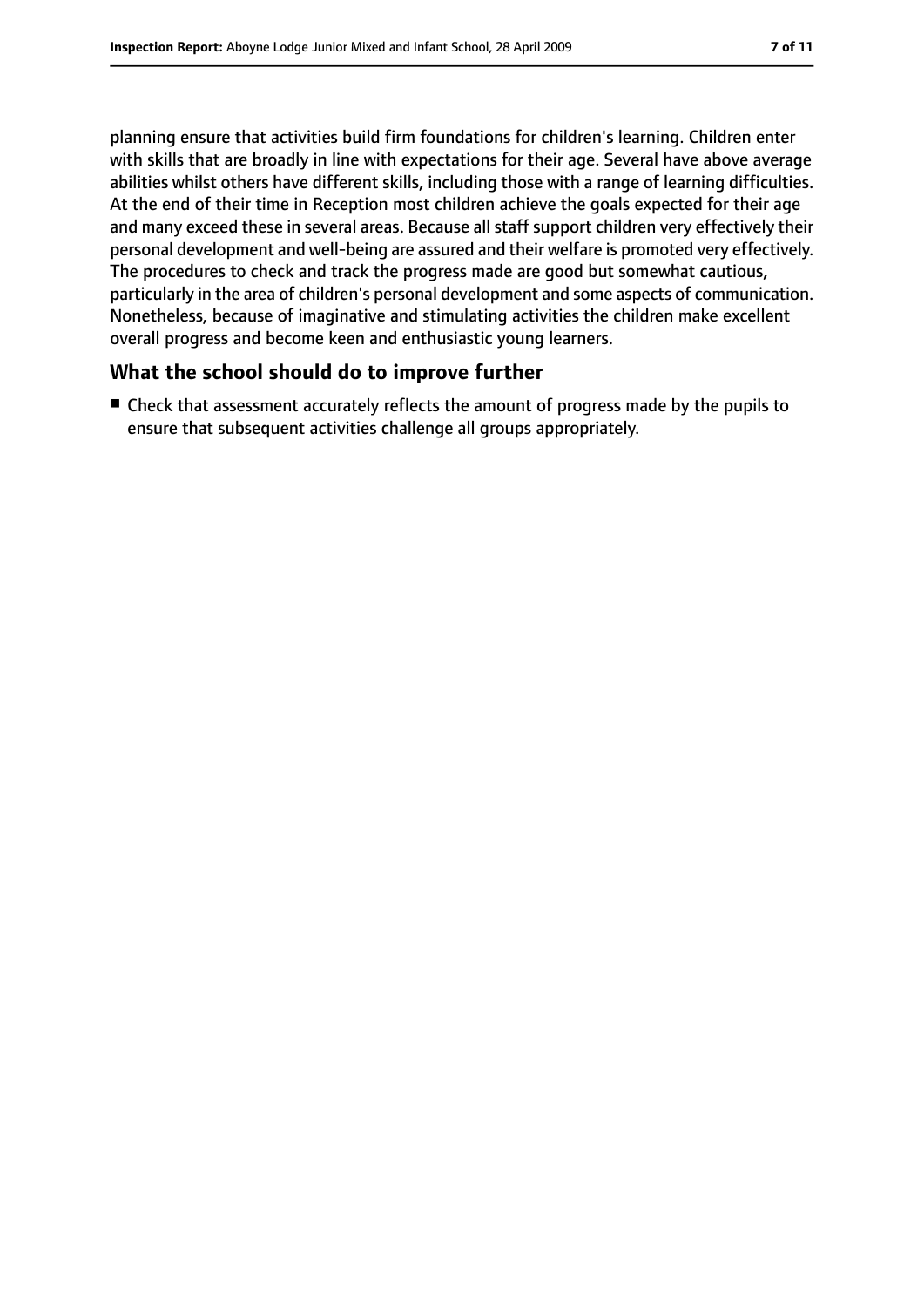planning ensure that activities build firm foundations for children's learning. Children enter with skills that are broadly in line with expectations for their age. Several have above average abilities whilst others have different skills, including those with a range of learning difficulties. At the end of their time in Reception most children achieve the goals expected for their age and many exceed these in several areas. Because all staff support children very effectively their personal development and well-being are assured and their welfare is promoted very effectively. The procedures to check and track the progress made are good but somewhat cautious, particularly in the area of children's personal development and some aspects of communication. Nonetheless, because of imaginative and stimulating activities the children make excellent overall progress and become keen and enthusiastic young learners.

## **What the school should do to improve further**

■ Check that assessment accurately reflects the amount of progress made by the pupils to ensure that subsequent activities challenge all groups appropriately.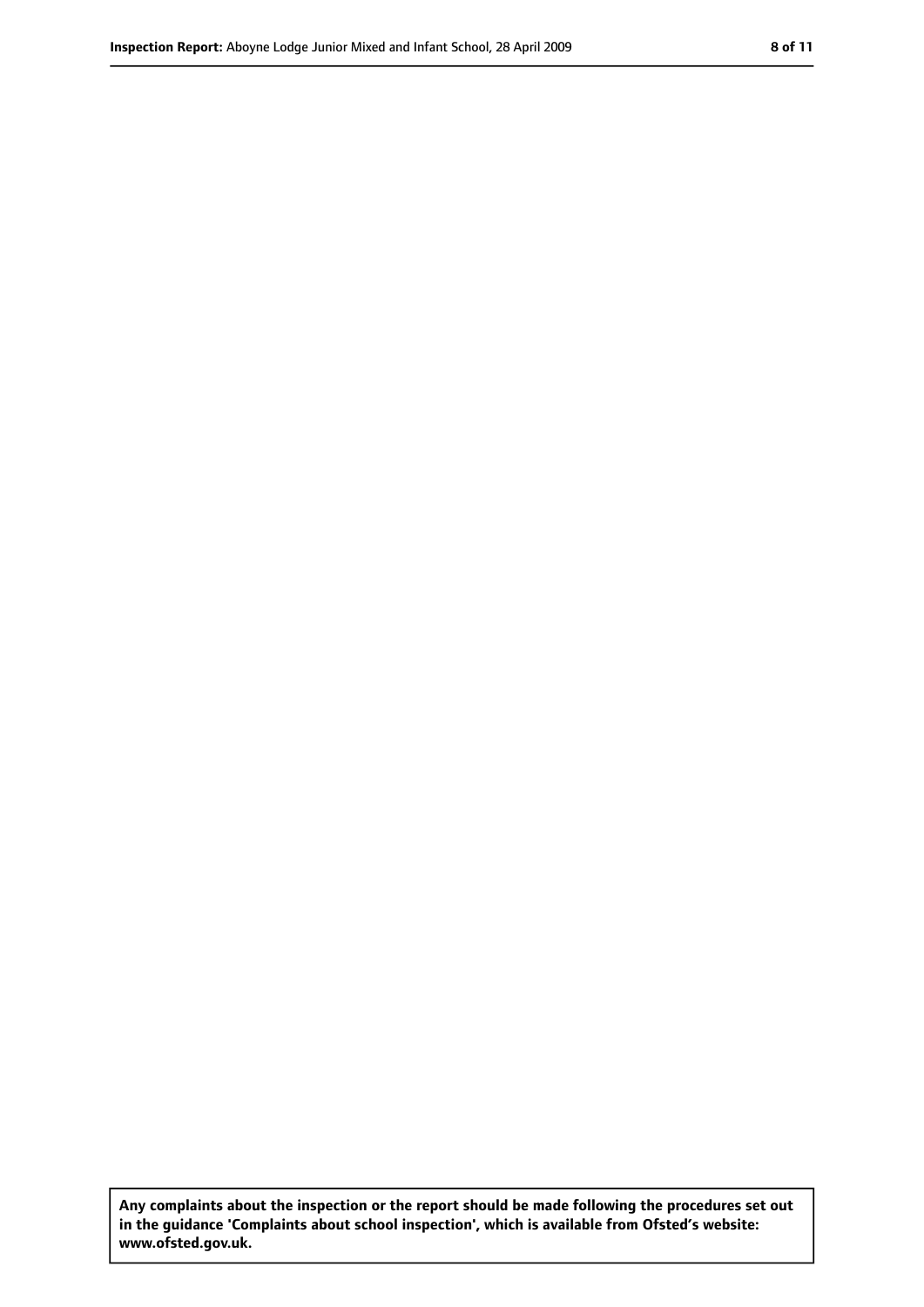**Any complaints about the inspection or the report should be made following the procedures set out in the guidance 'Complaints about school inspection', which is available from Ofsted's website: www.ofsted.gov.uk.**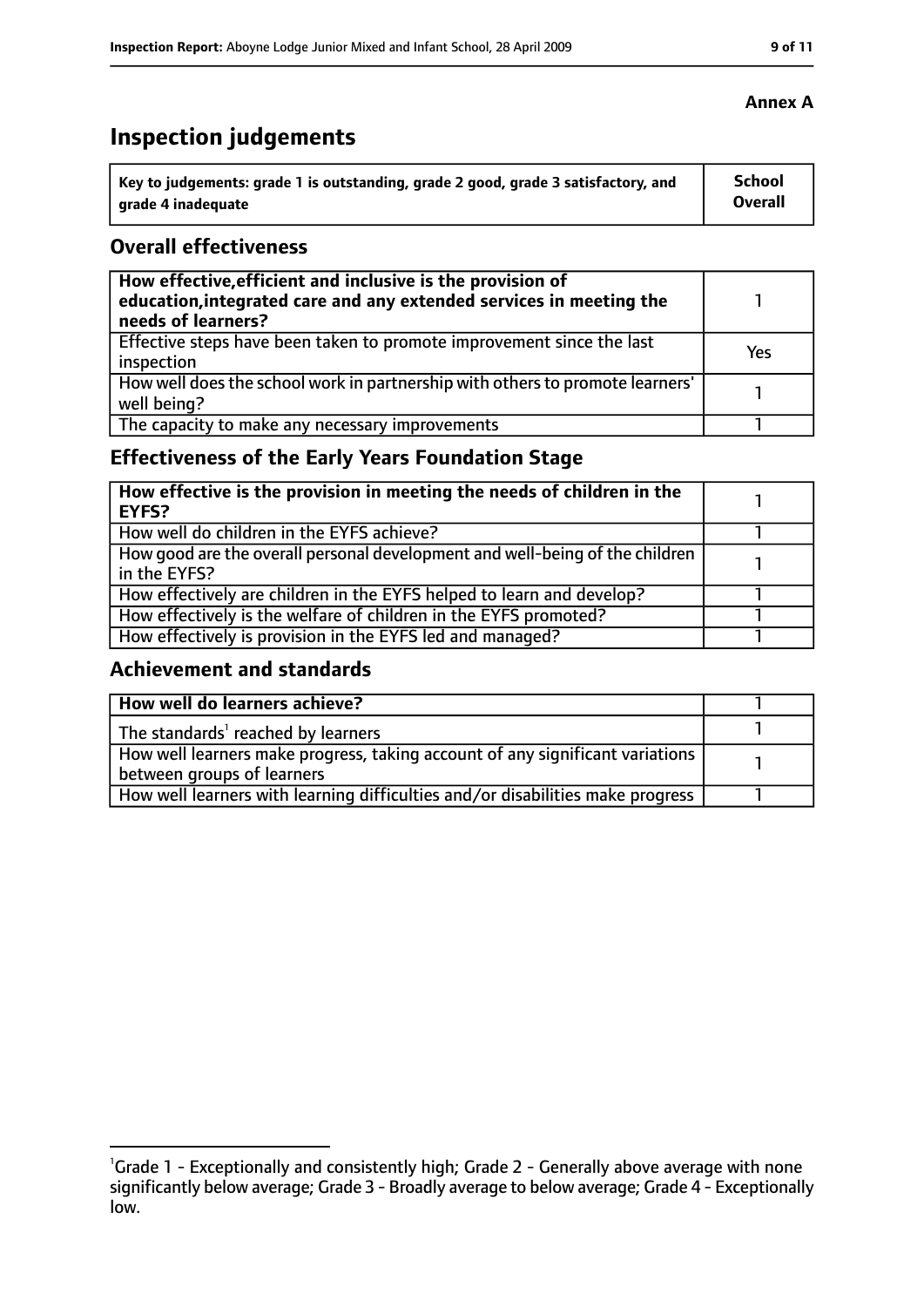# **Inspection judgements**

| Key to judgements: grade 1 is outstanding, grade 2 good, grade 3 satisfactory, and | <b>School</b> |
|------------------------------------------------------------------------------------|---------------|
| arade 4 inadequate                                                                 | Overall       |

### **Overall effectiveness**

| How effective, efficient and inclusive is the provision of<br>education, integrated care and any extended services in meeting the<br>needs of learners? |     |
|---------------------------------------------------------------------------------------------------------------------------------------------------------|-----|
| Effective steps have been taken to promote improvement since the last<br>inspection                                                                     | Yes |
| How well does the school work in partnership with others to promote learners'<br>well being?                                                            |     |
| The capacity to make any necessary improvements                                                                                                         |     |

# **Effectiveness of the Early Years Foundation Stage**

| How effective is the provision in meeting the needs of children in the<br>l EYFS?            |  |
|----------------------------------------------------------------------------------------------|--|
| How well do children in the EYFS achieve?                                                    |  |
| How good are the overall personal development and well-being of the children<br>in the EYFS? |  |
| How effectively are children in the EYFS helped to learn and develop?                        |  |
| How effectively is the welfare of children in the EYFS promoted?                             |  |
| How effectively is provision in the EYFS led and managed?                                    |  |

## **Achievement and standards**

| How well do learners achieve?                                                               |  |
|---------------------------------------------------------------------------------------------|--|
| $\vert$ The standards <sup>1</sup> reached by learners                                      |  |
| $\mid$ How well learners make progress, taking account of any significant variations $\mid$ |  |
| between groups of learners                                                                  |  |
| How well learners with learning difficulties and/or disabilities make progress              |  |

#### **Annex A**

<sup>&</sup>lt;sup>1</sup>Grade 1 - Exceptionally and consistently high; Grade 2 - Generally above average with none significantly below average; Grade 3 - Broadly average to below average; Grade 4 - Exceptionally low.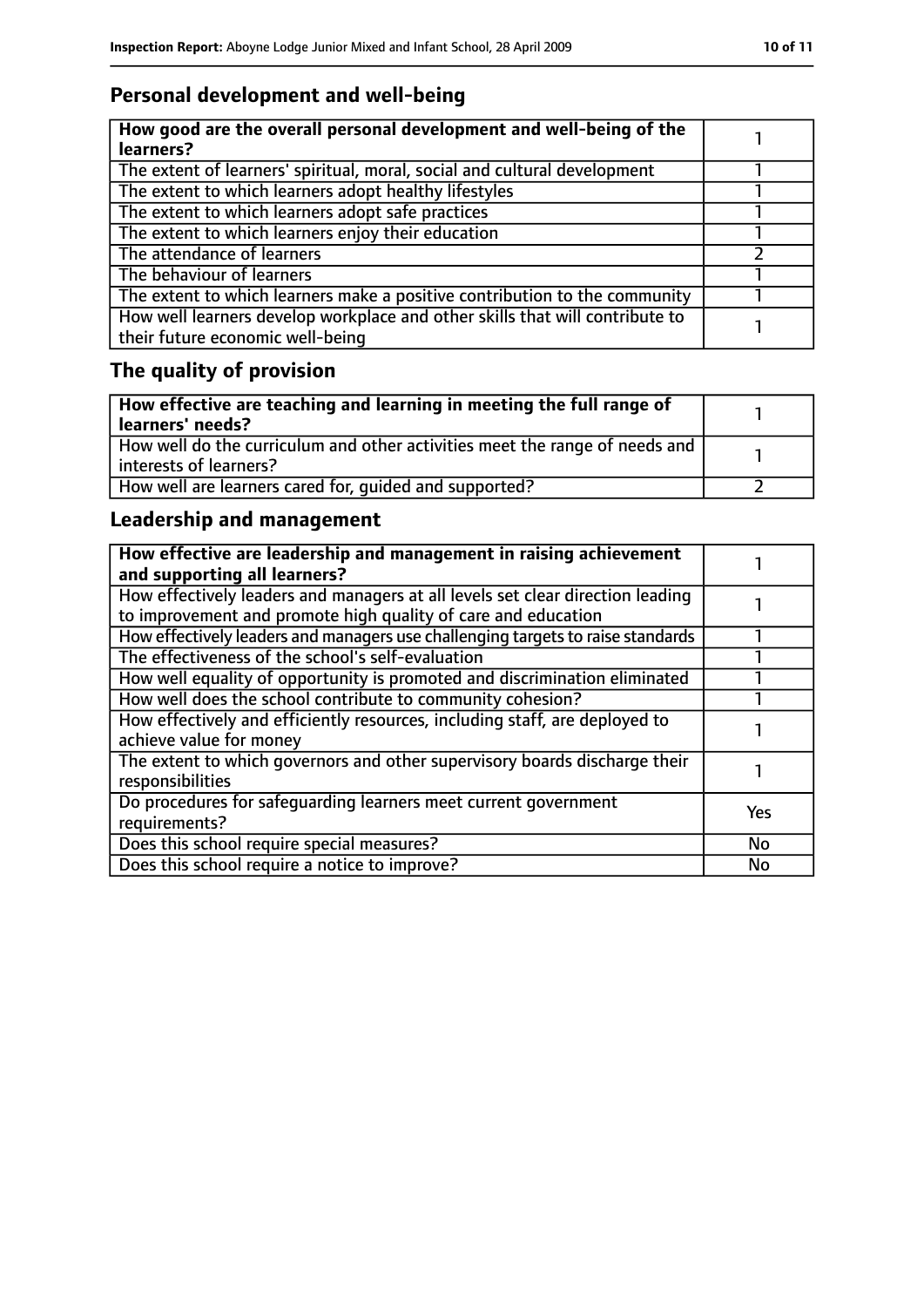# **Personal development and well-being**

| How good are the overall personal development and well-being of the<br>learners?                                 |  |
|------------------------------------------------------------------------------------------------------------------|--|
| The extent of learners' spiritual, moral, social and cultural development                                        |  |
| The extent to which learners adopt healthy lifestyles                                                            |  |
| The extent to which learners adopt safe practices                                                                |  |
| The extent to which learners enjoy their education                                                               |  |
| The attendance of learners                                                                                       |  |
| The behaviour of learners                                                                                        |  |
| The extent to which learners make a positive contribution to the community                                       |  |
| How well learners develop workplace and other skills that will contribute to<br>their future economic well-being |  |

# **The quality of provision**

| How effective are teaching and learning in meeting the full range of<br>learners' needs?                |  |
|---------------------------------------------------------------------------------------------------------|--|
| How well do the curriculum and other activities meet the range of needs and<br>  interests of learners? |  |
| How well are learners cared for, quided and supported?                                                  |  |

# **Leadership and management**

| How effective are leadership and management in raising achievement<br>and supporting all learners?                                              |           |
|-------------------------------------------------------------------------------------------------------------------------------------------------|-----------|
| How effectively leaders and managers at all levels set clear direction leading<br>to improvement and promote high quality of care and education |           |
| How effectively leaders and managers use challenging targets to raise standards                                                                 |           |
| The effectiveness of the school's self-evaluation                                                                                               |           |
| How well equality of opportunity is promoted and discrimination eliminated                                                                      |           |
| How well does the school contribute to community cohesion?                                                                                      |           |
| How effectively and efficiently resources, including staff, are deployed to<br>achieve value for money                                          |           |
| The extent to which governors and other supervisory boards discharge their<br>responsibilities                                                  |           |
| Do procedures for safequarding learners meet current government<br>requirements?                                                                | Yes       |
| Does this school require special measures?                                                                                                      | <b>No</b> |
| Does this school require a notice to improve?                                                                                                   | No        |